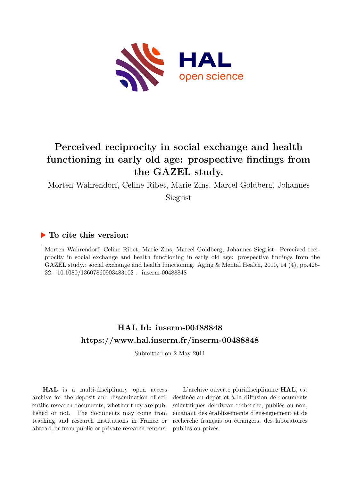

# **Perceived reciprocity in social exchange and health functioning in early old age: prospective findings from the GAZEL study.**

Morten Wahrendorf, Celine Ribet, Marie Zins, Marcel Goldberg, Johannes

Siegrist

# **To cite this version:**

Morten Wahrendorf, Celine Ribet, Marie Zins, Marcel Goldberg, Johannes Siegrist. Perceived reciprocity in social exchange and health functioning in early old age: prospective findings from the GAZEL study.: social exchange and health functioning. Aging & Mental Health, 2010, 14 (4), pp.425- 32. 10.1080/13607860903483102. inserm-00488848

# **HAL Id: inserm-00488848 <https://www.hal.inserm.fr/inserm-00488848>**

Submitted on 2 May 2011

**HAL** is a multi-disciplinary open access archive for the deposit and dissemination of scientific research documents, whether they are published or not. The documents may come from teaching and research institutions in France or abroad, or from public or private research centers.

L'archive ouverte pluridisciplinaire **HAL**, est destinée au dépôt et à la diffusion de documents scientifiques de niveau recherche, publiés ou non, émanant des établissements d'enseignement et de recherche français ou étrangers, des laboratoires publics ou privés.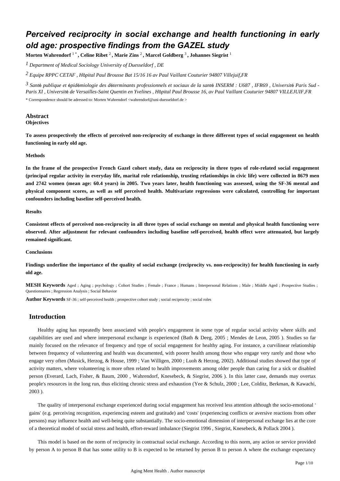# *Perceived reciprocity in social exchange and health functioning in early old age: prospective findings from the GAZEL study*

**Morten Wahrendorf** 1 \* **, Celine Ribet** <sup>2</sup> **, Marie Zins** <sup>2</sup> **, Marcel Goldberg** <sup>3</sup> **, Johannes Siegrist** <sup>1</sup>

*Department of Medical Sociology 1 University of Duesseldorf , DE*

*Equipe RPPC 2 CETAF , H*ô*pital Paul Brousse Bat 15/16 16 av Paul Vaillant Couturier 94807 Villejuif,FR*

<sup>3</sup> Santé publique et épidémiologie des déterminants professionnels et sociaux de la santé INSERM : U687, IFR69, Université Paris Sud -*Paris XI , Universit*é *de Versailles-Saint Quentin en Yvelines , H*ô*pital Paul Brousse 16, av Paul Vaillant Couturier 94807 VILLEJUIF,FR* \* Correspondence should be adressed to: Morten Wahrendorf <wahrendorf@uni-duesseldorf.de >

# **Abstract**

**Objectives**

**To assess prospectively the effects of perceived non-reciprocity of exchange in three different types of social engagement on health functioning in early old age.**

# **Methods**

**In the frame of the prospective French Gazel cohort study, data on reciprocity in three types of role-related social engagement (principal regular activity in everyday life, marital role relationship, trusting relationships in civic life) were collected in 8679 men and 2742 women (mean age: 60.4 years) in 2005. Two years later, health functioning was assessed, using the SF-36 mental and physical component scores, as well as self perceived health. Multivariate regressions were calculated, controlling for important confounders including baseline self-perceived health.**

# **Results**

**Consistent effects of perceived non-reciprocity in all three types of social exchange on mental and physical health functioning were observed. After adjustment for relevant confounders including baseline self-perceived, health effect were attenuated, but largely remained significant.**

# **Conclusions**

**Findings underline the importance of the quality of social exchange (reciprocity vs. non-reciprocity) for health functioning in early old age.**

**MESH Keywords** Aged ; Aging ; psychology ; Cohort Studies ; Female ; France ; Humans ; Interpersonal Relations ; Male ; Middle Aged ; Prospective Studies ; Questionnaires ; Regression Analysis ; Social Behavior

**Author Keywords** SF-36 ; self-perceived health ; prospective cohort study ; social reciprocity ; social roles

# **Introduction**

Healthy aging has repeatedly been associated with people's engagement in some type of regular social activity where skills and capabilities are used and where interpersonal exchange is experienced (Bath & Deeg, 2005 ; Mendes de Leon, 2005 ). Studies so far mainly focused on the relevance of frequency and type of social engagement for healthy aging. For instance, a curvilinear relationship between frequency of volunteering and health was documented, with poorer health among those who engage very rarely and those who engage very often (Musick, Herzog, & House, 1999 ; Van Willigen, 2000 ; Luoh & Herzog, 2002). Additional studies showed that type of activity matters, where volunteering is more often related to health improvements among older people than caring for a sick or disabled person (Everard, Lach, Fisher, & Baum, 2000 , Wahrendorf, Knesebeck, & Siegrist, 2006 ). In this latter case, demands may overtax people's resources in the long run, thus eliciting chronic stress and exhaustion (Yee & Schulz, 2000 ; Lee, Colditz, Berkman, & Kawachi, 2003 ).

The quality of interpersonal exchange experienced during social engagement has received less attention although the socio-emotional ' gains' (e.g. perceiving recognition, experiencing esteem and gratitude) and 'costs' (experiencing conflicts or aversive reactions from other persons) may influence health and well-being quite substantially. The socio-emotional dimension of interpersonal exchange lies at the core of a theoretical model of social stress and health, effort-reward imbalance (Siegrist 1996 , Siegrist, Knesebeck, & Pollack 2004 ).

This model is based on the norm of reciprocity in contractual social exchange. According to this norm, any action or service provided by person A to person B that has some utility to B is expected to be returned by person B to person A where the exchange expectancy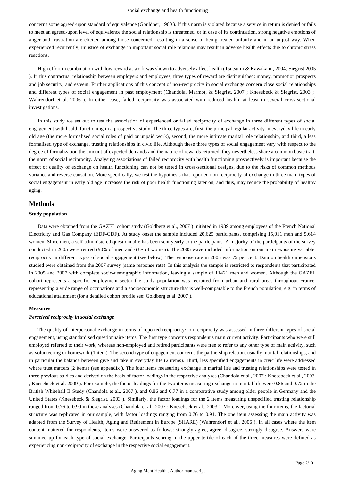concerns some agreed-upon standard of equivalence (Gouldner, 1960 ). If this norm is violated because a service in return is denied or fails to meet an agreed-upon level of equivalence the social relationship is threatened, or in case of its continuation, strong negative emotions of anger and frustration are elicited among those concerned, resulting in a sense of being treated unfairly and in an unjust way. When experienced recurrently, injustice of exchange in important social role relations may result in adverse health effects due to chronic stress reactions.

High effort in combination with low reward at work was shown to adversely affect health (Tsutsumi & Kawakami, 2004; Siegrist 2005 ). In this contractual relationship between employers and employees, three types of reward are distinguished: money, promotion prospects and job security, and esteem. Further applications of this concept of non-reciprocity in social exchange concern close social relationships and different types of social engagement in past employment (Chandola, Marmot, & Siegrist, 2007 ; Knesebeck & Siegrist, 2003 ; Wahrendorf et al. 2006 ). In either case, failed reciprocity was associated with reduced health, at least in several cross-sectional investigations.

In this study we set out to test the association of experienced or failed reciprocity of exchange in three different types of social engagement with health functioning in a prospective study. The three types are, first, the principal regular activity in everyday life in early old age (the more formalised social roles of paid or unpaid work), second, the more intimate marital role relationship, and third, a less formalized type of exchange, trusting relationships in civic life. Although these three types of social engagement vary with respect to the degree of formalization the amount of expected demands and the nature of rewards returned, they nevertheless share a common basic trait, the norm of social reciprocity. Analysing associations of failed reciprocity with health functioning prospectively is important because the effect of quality of exchange on health functioning can not be tested in cross-sectional designs, due to the risks of common methods variance and reverse causation. More specifically, we test the hypothesis that reported non-reciprocity of exchange in three main types of social engagement in early old age increases the risk of poor health functioning later on, and thus, may reduce the probability of healthy aging.

### **Methods**

#### **Study population**

Data were obtained from the GAZEL cohort study (Goldberg et al., 2007 ) initiated in 1989 among employees of the French National Electricity and Gas Company (EDF-GDF). At study onset the sample included 20,625 participants, comprising 15,011 men and 5,614 women. Since then, a self-administered questionnaire has been sent yearly to the participants. A majority of the participants of the survey conducted in 2005 were retired (90% of men and 63% of women). The 2005 wave included information on our main exposure variable: reciprocity in different types of social engagement (see below). The response rate in 2005 was 75 per cent. Data on health dimensions studied were obtained from the 2007 survey (same response rate). In this analysis the sample is restricted to respondents that participated in 2005 and 2007 with complete socio-demographic information, leaving a sample of 11421 men and women. Although the GAZEL cohort represents a specific employment sector the study population was recruited from urban and rural areas throughout France, representing a wide range of occupations and a socioeconomic structure that is well-comparable to the French population, e.g. in terms of educational attainment (for a detailed cohort profile see: Goldberg et al. 2007 ).

#### **Measures**

#### *Perceived reciprocity in social exchange*

The quality of interpersonal exchange in terms of reported reciprocity/non-reciprocity was assessed in three different types of social engagement, using standardised questionnaire items. The first type concerns respondent's main current activity. Participants who were still employed referred to their work, whereas non-employed and retired participants were free to refer to any other type of main activity, such as volunteering or homework (1 item). The second type of engagement concerns the partnership relation, usually marital relationships, and in particular the balance between give and take in everyday life (2 items). Third, less specified engagements in civic life were addressed where trust matters (2 items) (see appendix). The four items measuring exchange in marital life and trusting relationships were tested in three previous studies and derived on the basis of factor loadings in the respective analyses (Chandola et al., 2007 ; Knesebeck et al., 2003 , Knesebeck et al. 2009 ). For example, the factor loadings for the two items measuring exchange in marital life were 0.86 and 0.72 in the British Whitehall II Study (Chandola et al., 2007), and 0.86 and 0.77 in a comparative study among older people in Germany and the United States (Knesebeck & Siegrist, 2003 ). Similarly, the factor loadings for the 2 items measuring unspecified trusting relationship ranged from 0.76 to 0.90 in these analyses (Chandola et al., 2007 ; Knesebeck et al., 2003 ). Moreover, using the four items, the factorial structure was replicated in our sample, with factor loadings ranging from 0.76 to 0.91. The one item assessing the main activity was adapted from the Survey of Health, Aging and Retirement in Europe (SHARE) (Wahrendorf et al., 2006 ). In all cases where the item content mattered for respondents, items were answered as follows: strongly agree, agree, disagree, strongly disagree. Answers were summed up for each type of social exchange. Participants scoring in the upper tertile of each of the three measures were defined as experiencing non-reciprocity of exchange in the respective social engagement.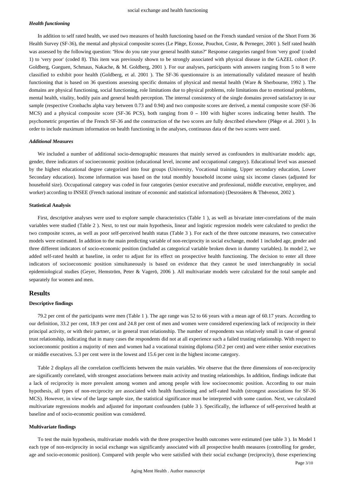#### *Health functioning*

In addition to self rated health, we used two measures of health functioning based on the French standard version of the Short Form 36 Health Survey (SF-36), the mental and physical composite scores (Le Plège, Ecosse, Pouchot, Coste, & Perneger, 2001 ). Self rated health was assessed by the following question: "How do you rate your general health status?" Response categories ranged from 'very good' (coded 1) to 'very poor' (coded 8). This item was previously shown to be strongly associated with physical disease in the GAZEL cohort (P. Goldberg, Gueguen, Schmaus, Nakache, & M. Goldberg, 2001 ). For our analyses, participants with answers ranging from 5 to 8 were classified to exhibit poor health (Goldberg, et al. 2001 ). The SF-36 questionnaire is an internationally validated measure of health functioning that is based on 36 questions assessing specific domains of physical and mental health (Ware & Sherbourne, 1992 ). The domains are physical functioning, social functioning, role limitations due to physical problems, role limitations due to emotional problems, mental health, vitality, bodily pain and general health perception. The internal consistency of the single domains proved satisfactory in our sample (respective Cronbachs alpha vary between 0.73 and 0.94) and two composite scores are derived, a mental composite score (SF-36 MCS) and a physical composite score (SF-36 PCS), both ranging from 0 – 100 with higher scores indicating better health. The psychometric properties of the French SF-36 and the construction of the two scores are fully described elsewhere (Plège et al. 2001 ). In order to include maximum information on health functioning in the analyses, continuous data of the two scores were used.

#### *Additional Measures*

We included a number of additional socio-demographic measures that mainly served as confounders in multivariate models: age, gender, three indicators of socioeconomic position (educational level, income and occupational category). Educational level was assessed by the highest educational degree categorized into four groups (University, Vocational training, Upper secondary education, Lower Secondary education). Income information was based on the total monthly household income using six income classes (adjusted for household size). Occupational category was coded in four categories (senior executive and professional, middle executive, employee, and worker) according to INSEE (French national institute of economic and statistical information) (Desrosières & Thévenot, 2002 ).

#### **Statistical Analysis**

First, descriptive analyses were used to explore sample characteristics (Table 1 ), as well as bivariate inter-correlations of the main variables were studied (Table 2 ). Next, to test our main hypothesis, linear and logistic regression models were calculated to predict the two composite scores, as well as poor self-perceived health status (Table 3 ). For each of the three outcome measures, two consecutive models were estimated. In addition to the main predicting variable of non-reciprocity in social exchange, model 1 included age, gender and three different indicators of socio-economic position (included as categorical variable broken down in dummy variables). In model 2, we added self-rated health at baseline, in order to adjust for its effect on prospective health functioning. The decision to enter all three indicators of socioeconomic position simultaneously is based on evidence that they cannot be used interchangeably in social epidemiological studies (Geyer, Hemström, Peter & Vagerö, 2006 ). All multivariate models were calculated for the total sample and separately for women and men.

## **Results**

#### **Descriptive findings**

79.2 per cent of the participants were men (Table 1 ). The age range was 52 to 66 years with a mean age of 60.17 years. According to our definition, 33.2 per cent, 18.9 per cent and 24.8 per cent of men and women were considered experiencing lack of reciprocity in their principal activity, or with their partner, or in general trust relationship. The number of respondents was relatively small in case of general trust relationship, indicating that in many cases the respondents did not at all experience such a failed trusting relationship. With respect to socioeconomic position a majority of men and women had a vocational training diploma (50.2 per cent) and were either senior executives or middle executives. 5.3 per cent were in the lowest and 15.6 per cent in the highest income category.

Table 2 displays all the correlation coefficients between the main variables. We observe that the three dimensions of non-reciprocity are significantly correlated, with strongest associations between main activity and trusting relationships. In addition, findings indicate that a lack of reciprocity is more prevalent among women and among people with low socioeconomic position. According to our main hypothesis, all types of non-reciprocity are associated with health functioning and self-rated health (strongest associations for SF-36 MCS). However, in view of the large sample size, the statistical significance must be interpreted with some caution. Next, we calculated multivariate regressions models and adjusted for important confounders (table 3 ). Specifically, the influence of self-perceived health at baseline and of socio-economic position was considered.

#### **Multivariate findings**

To test the main hypothesis, multivariate models with the three prospective health outcomes were estimated (see table 3 ). In Model 1 each type of non-reciprocity in social exchange was significantly associated with all prospective health measures (controlling for gender, age and socio-economic position). Compared with people who were satisfied with their social exchange (reciprocity), those experiencing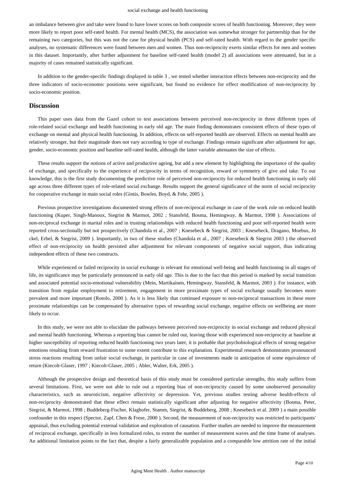an imbalance between give and take were found to have lower scores on both composite scores of health functioning. Moreover, they were more likely to report poor self-rated health. For mental health (MCS), the association was somewhat stronger for partnership than for the remaining two categories, but this was not the case for physical health (PCS) and self-rated health. With regard to the gender specific analyses, no systematic differences were found between men and women. Thus non-reciprocity exerts similar effects for men and women in this dataset. Importantly, after further adjustment for baseline self-rated health (model 2) all associations were attenuated, but in a majority of cases remained statistically significant.

In addition to the gender-specific findings displayed in table 3 , we tested whether interaction effects between non-reciprocity and the three indicators of socio-economic positions were significant, but found no evidence for effect modification of non-reciprocity by socio-economic position.

### **Discussion**

This paper uses data from the Gazel cohort to test associations between perceived non-reciprocity in three different types of role-related social exchange and health functioning in early old age. The main finding demonstrates consistent effects of these types of exchange on mental and physical health functioning. In addition, effects on self-reported health are observed. Effects on mental health are relatively stronger, but their magnitude does not vary according to type of exchange. Findings remain significant after adjustment for age, gender, socio-economic position and baseline self-rated health, although the latter variable attenuates the size of effects.

These results support the notions of active and productive ageing, but add a new element by highlighting the importance of the quality of exchange, and specifically to the experience of reciprocity in terms of recognition, reward or symmetry of give and take. To our knowledge, this is the first study documenting the predictive role of perceived non-reciprocity for reduced health functioning in early old age across three different types of role-related social exchange. Results support the general significance of the norm of social reciprocity for cooperative exchange in main social roles (Gintis, Bowles, Boyd, & Fehr, 2005 ).

Previous prospective investigations documented strong effects of non-reciprocal exchange in case of the work role on reduced health functioning (Kuper, Singh-Manoux, Siegrist & Marmot, 2002 ; Stansfeld, Bosma, Hemingway, & Marmot, 1998 ). Associations of non-reciprocal exchange in marital roles and in trusting relationships with reduced health functioning and poor self-reported health were reported cross-sectionally but not prospectively (Chandola et al., 2007 ; Knesebeck & Siegrist, 2003 ; Knesebeck, Dragano, Moebus, Jö ckel, Erbel, & Siegrist, 2009 ). Importantly, in two of these studies (Chandola et al., 2007 ; Knesebeck & Siegrist 2003 ) the observed effect of non-reciprocity on health persisted after adjustment for relevant components of negative social support, thus indicating independent effects of these two constructs.

While experienced or failed reciprocity in social exchange is relevant for emotional well-being and health functioning in all stages of life, its significance may be particularly pronounced in early old age. This is due to the fact that this period is marked by social transition and associated potential socio-emotional vulnerability (Mein, Martikainen, Hemingway, Stansfeld, & Marmot, 2003 ). For instance, with transition from regular employment to retirement, engagement in more proximate types of social exchange usually becomes more prevalent and more important (Rotolo, 2000 ). As it is less likely that continued exposure to non-reciprocal transactions in these more proximate relationships can be compensated by alternative types of rewarding social exchange, negative effects on wellbeing are more likely to occur.

In this study, we were not able to elucidate the pathways between perceived non-reciprocity in social exchange and reduced physical and mental health functioning. Whereas a reporting bias cannot be ruled out, leaving those with experienced non-reciprocity at baseline at higher susceptibility of reporting reduced health functioning two years later, it is probable that psychobiological effects of strong negative emotions resulting from reward frustration to some extent contribute to this explanation. Experimental research demonstrates pronounced stress reactions resulting from unfair social exchange, in particular in case of investments made in anticipation of some equivalence of return (Kiecolt-Glaser, 1997 ; Kiecolt-Glaser, 2005 ; Abler, Walter, Erk, 2005 ).

Although the prospective design and theoretical basis of this study must be considered particular strengths, this study suffers from several limitations. First, we were not able to rule out a reporting bias of non-reciprocity caused by some unobserved personality characteristics, such as neuroticism, negative affectivity or depression. Yet, previous studies testing adverse health-effects of non-reciprocity demonstrated that these effect remain statistically significant after adjusting for negative affectivity (Bosma, Peter, Siegrist, & Marmot, 1998 ; Buddeberg-Fischer, Klaghofer, Stamm, Siegrist, & Buddeberg, 2008 ; Knesebeck et al. 2009 ) a main possible confounder in this respect (Spector, Zapf, Chen & Frese, 2000 ). Second, the measurement of non-reciprocity was restricted to participants' appraisal, thus excluding potential external validation and exploration of causation. Further studies are needed to improve the measurement of reciprocal exchange, specifically in less formalized roles, to extent the number of measurement waves and the time frame of analyses. An additional limitation points to the fact that, despite a fairly generalizable population and a comparable low attrition rate of the initial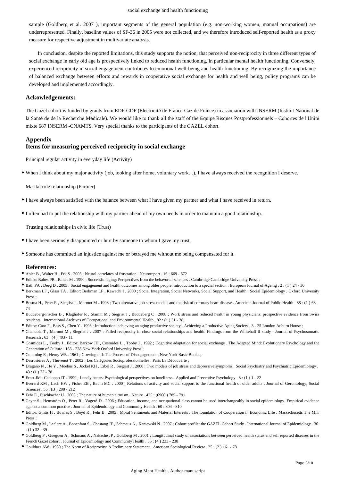sample (Goldberg et al. 2007), important segments of the general population (e.g. non-working women, manual occupations) are underrepresented. Finally, baseline values of SF-36 in 2005 were not collected, and we therefore introduced self-reported health as a proxy measure for respective adjustment in multivariate analysis.

In conclusion, despite the reported limitations, this study supports the notion, that perceived non-reciprocity in three different types of social exchange in early old age is prospectively linked to reduced health functioning, in particular mental health functioning. Conversely, experienced reciprocity in social engagement contributes to emotional well-being and health functioning. By recognizing the importance of balanced exchange between efforts and rewards in cooperative social exchange for health and well being, policy programs can be developed and implemented accordingly.

#### **Ackowledgements:**

The Gazel cohort is funded by grants from EDF-GDF (Electricité de France-Gaz de France) in association with INSERM (Institut National de la Santé de de la Recherche Médicale). We would like to thank all the staff of the Équipe Risques Postprofessionnels – Cohortes de l'Unité mixte 687 INSERM -CNAMTS. Very special thanks to the participants of the GAZEL cohort.

#### **Appendix**

# **Items for measuring perceived reciprocity in social exchange**

Principal regular activity in everyday life (Activity)

When I think about my major activity (job, looking after home, voluntary work…), I have always received the recognition I deserve.

Marital role relationship (Partner)

- I have always been satisfied with the balance between what I have given my partner and what I have received in return.
- I often had to put the relationship with my partner ahead of my own needs in order to maintain a good relationship.

Trusting relationships in civic life (Trust)

- I have been seriously disappointed or hurt by someone to whom I gave my trust.
- Someone has committed an injustice against me or betrayed me without me being compensated for it.

#### **References:**

- Abler B , Walter H , Erk S . 2005 ; Neurol correlates of frustration . Neuroreport . 16 : 669 672
- Editor: Baltes PB , Baltes M . 1990 ; Successful aging: Perspectives from the behavorial-sciences . Cambridge Cambridge University Press ;
- Bath PA, Deeg D. 2005; Social engagement and health outcomes among older people: introduction to a special section . European Journal of Ageing . 2: (1) 24 30
- Berkman LF , Glass TA . Editor: Berkman LF , Kawachi I . 2000 ; Social Integration, Social Networks, Social Support, and Health . Social Epidemiology . Oxford University Press ;
- Bosma H , Peter R , Siegrist J , Marmot M . 1998 ; Two alternative job stress models and the risk of coronary heart disease . American Journal of Public Health . 88 : (1 ) 68 74
- Buddeberg-Fischer B , Klaghofer R , Stamm M , Siegrist J , Buddeberg C . 2008 ; Work stress and reduced health in young physicians: prospective evidence from Swiss residents . International Archives of Occupational and Environmental Health . 82 : (1 ) 31 - 38
- Editor: Caro F , Bass S , Chen Y . 1993 ; Introduction: achieving an aging productive society . Achieving a Productive Aging Society . 3 25 London Auburn House ;
- Chandola T , Marmot M , Siegrist J . 2007 ; Failed reciprocity in close social relationships and health: Findings from the Whitehall II study . Journal of Psychosomatic Research . 63 : (4 ) 403 - 11
- Cosmides L , Tooby J . Editor: Barkow JH , Cosmides L , Tooby J . 1992 ; Cognitive adaptation for social exchange . The Adapted Mind: Evolutionary Psychology and the Generation of Culture . 163 - 228 New York Oxford University Press ;
- Cumming E , Henry WE . 1961 ; Growing old: The Process of Disengagement . New York Basic Books ;
- Desrosières A , Thévenot T . 2002 ; Les Catégories Socioprofessionnelles . Paris La Découverte ;
- Dragano N , He Y , Moebus S , Jöckel KH , Erbel R , Siegrist J . 2008 ; Two models of job stress and depressive symptoms . Social Psychiatry and Psychiatric Epidemiology . 43 : (1 ) 72 - 78
- Ernst JM , Cacioppo JT . 1999 ; Lonely hearts: Psychological perspectives on loneliness . Applied and Preventive Psychology . 8 : (1 ) 1 22
- Everard KM , Lach HW , Fisher EB , Baum MC . 2000 ; Relations of activity and social support to the functional health of older adults . Journal of Gerontology, Social Sciences . 55 : (B ) 208 - 212
- Fehr E , Fischbacher U . 2003 ; The nature of human altruism . Nature . 425 : (6960 ) 785 791
- Geyer S , Hemström Ö , Peter R , Vagerö D . 2006 ; Education, income, and occupational class cannot be used interchangeably in social epidemiology. Empirical evidence against a common practice . Journal of Epidemiology and Community Health . 60 : 804 - 810
- Editor: Gintis H , Bowles S , Boyd R , Fehr E . 2005 ; Moral Sentiments and Material Interests . The foundation of Cooperation in Economic Life . Massachusetts The MIT Press ;
- Goldberg M , Leclerc A , Bonenfant S , Chastang JF , Schmaus A , Kaniewski N . 2007 ; Cohort profile: the GAZEL Cohort Study . International Journal of Epidemiology . 36  $: (1)$  32 - 39
- Goldberg P , Gueguen A , Schmaus A , Nakache JP , Goldberg M . 2001 ; Longitudinal study of associations between perceived health status and self reported diseases in the French Gazel cohort . Journal of Epidemiology and Community Health . 55 : (4 ) 233 - 238
- Gouldner AW . 1960 ; The Norm of Reciprocity: A Preliminary Statement . American Sociological Review . 25 : (2 ) 161 78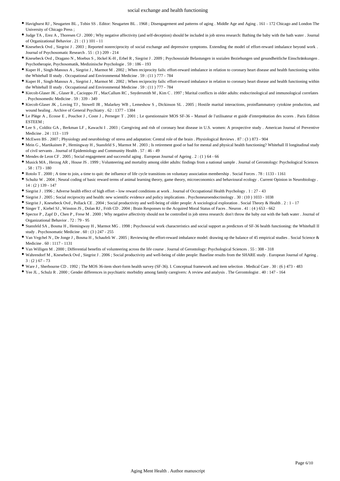- Havighurst RJ , Neugarten BL , Tobin SS . Editor: Neugarten BL . 1968 ; Disengagement and patterns of aging . Middle Age and Aging . 161 172 Chicago and London The University of Chicago Press ;
- Judge TA , Erez A , Thoresen CJ . 2000 ; Why negative affectivity (and self-deception) should be included in job stress research: Bathing the baby with the bath water . Journal of Organizational Behavior . 21 : (1 ) 101 - 11
- Knesebeck Ovd , Siegrist J . 2003 ; Reported nonreciprocity of social exchange and depressive symptoms. Extending the model of effort-reward imbalance beyond work . Journal of Psychosomatic Research . 55 : (3 ) 209 - 214
- Knesebeck Ovd , Dragano N , Moebus S , Jöckel K-H , Erbel R , Siegrist J . 2009 ; Psychosoziale Belastungen in sozialen Beziehungen und gesundheitliche Einschränkungen . Psychotherapie, Psychosomatik, Medizinische Psychologie . 59 : 186 - 193
- Kuper H , Singh-Manoux A , Siegrist J , Marmot M . 2002 ; When reciprocity fails: effort-reward imbalance in relation to coronary heart disease and health functioning within the Whitehall II study . Occupational and Environmental Medicine . 59 : (11 ) 777 - 784
- Kuper H , Singh-Manoux A , Siegrist J , Marmot M . 2002 ; When reciprocity fails: effort-reward imbalance in relation to coronary heart disease and health functioning within the Whitehall II study . Occupational and Environmental Medicine . 59 : (11 ) 777 - 784
- Kiecolt-Glaser JK , Glaser R , Cacioppo JT , MacCallum RC , Snydersmith M , Kim C . 1997 ; Marital conflicts in older adults: endocrinological and immunological correlates . Psychosomedic Medicine . 59 : 339 - 349
- Kiecolt-Glaser JK , Loving TJ , Stowell JR , Malarkey WB , Lemeshow S , Dickinson SL . 2005 ; Hostile marital interactions, proinflammatory cytokine production, and wound healing . Archive of General Psychiatry . 62 : 1377 - 1384
- Le Plège A , Ecosse E , Pouchot J , Coste J , Perneger T . 2001 ; Le questionnaire MOS SF-36 Manuel de l'utilisateur et guide d'interprétation des scores . Paris Edition ESTEEM ;
- Lee S , Colditz GA , Berkman LF , Kawachi I . 2003 ; Caregiving and rish of coronary heat disease in U.S. women: A prospective study . American Journal of Preventive Medicine . 24 : 113 - 119
- McEwen BS . 2007 ; Physiology and neurobiology of stress and adaptation: Central role of the brain . Physiological Reviews . 87 : (3 ) 873 904
- Mein G , Martikainen P , Hemingway H , Stansfeld S , Marmot M . 2003 ; Is retirement good or bad for mental and physical health functioning? Whitehall II longitudinal study of civil servants . Journal of Epidemiology and Community Health . 57 : 46 - 49
- Mendes de Leon CF . 2005 ; Social engagement and successful aging . European Journal of Ageing . 2 : (1 ) 64 66
- Musick MA , Herzog AR , House JS . 1999 ; Volunteering and mortality among older adults: findings from a national sample . Journal of Gerontology: Psychological Sciences . 58 : 173 - 180
- Rotolo T . 2000 ; A time to join, a time to quit: the influence of life cycle transitions on voluntary association membership . Social Forces . 78 : 1133 1161
- Schultz W . 2004 ; Neural coding of basic reward terms of animal learning theory, game theory, microeconomics and behavioural ecology . Current Opinion in Neurobiology 14 : (2 ) 139 - 147
- Siegrist J . 1996 ; Adverse health effect of high effort low reward conditions at work . Journal of Occupational Health Psychology . 1 : 27 43
- Siegrist J . 2005 ; Social reciprocity and health: new scientific evidence and policy implications . Psychoneuroendocrinology . 30 : (10 ) 1033 1038
- Siegrist J , Knesebeck Ovd , Pollack CE . 2004 ; Social productivity and well-being of older people: A sociological exploration . Social Theory & Health . 2 : 1 17
- Singer T , Kiebel SJ , Winston JS , Dolan RJ , Frith CD . 2004 ; Brain Responses to the Acquired Moral Status of Faces . Neuron . 41 : (4 ) 653 662
- Spector P , Zapf D , Chen P , Frese M . 2000 ; Why negative affectivity should not be controlled in job stress research: don't throw the baby out with the bath water . Journal of Organizational Behavior . 72 : 79 - 95
- Stansfeld SA , Bosma H , Hemingway H , Marmot MG . 1998 ; Psychosocial work characteristics and social support as predictors of SF-36 health functioning: the Whitehall II study . Psychosomatic Medicine . 60 : (3 ) 247 - 255
- Van Vegchel N , De Jonge J , Bosma H , Schaufeli W . 2005 ; Reviewing the effort-reward imbalance model: drawing up the balance of 45 empirical studies . Social Science & Medicine . 60 : 1117 - 1131
- Van Willigen M . 2000 ; Differential benefits of volunteering across the life course . Journal of Gerontology: Psychological Sciences . 55 : 308 318
- Wahrendorf M , Knesebeck Ovd , Siegrist J . 2006 ; Social productivity and well-being of older people: Baseline results from the SHARE study . European Journal of Ageing .  $3: (2)$  67 - 73
- Ware J , Sherbourne CD . 1992 ; The MOS 36-item short-form health survey (SF-36). I. Conceptual framework and item selection . Medical Care . 30 : (6 ) 473 483
- Yee JL , Schulz R . 2000 ; Gender differences in psychiatric morbidity among family caregivers: A review and analysis . The Gerontologist . 40 : 147 164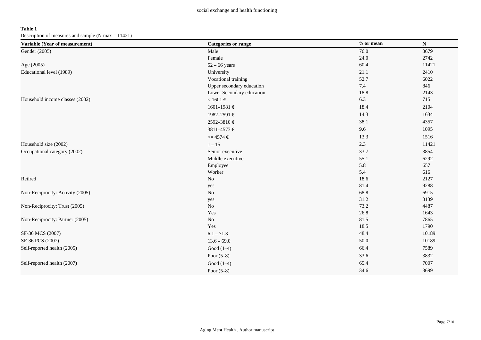| Table 1                                               |  |
|-------------------------------------------------------|--|
| Description of measures and sample (N max = $11421$ ) |  |

| Variable (Year of measurement)   | <b>Categories or range</b> | $\%$ or mean | N     |
|----------------------------------|----------------------------|--------------|-------|
| Gender (2005)                    | Male                       | 76.0         | 8679  |
|                                  | Female                     | 24.0         | 2742  |
| Age (2005)                       | $52 - 66$ years            | 60.4         | 11421 |
| Educational level (1989)         | University                 | 21.1         | 2410  |
|                                  | Vocational training        | 52.7         | 6022  |
|                                  | Upper secondary education  | $7.4\,$      | 846   |
|                                  | Lower Secondary education  | 18.8         | 2143  |
| Household income classes (2002)  | $<1601$ €                  | 6.3          | 715   |
|                                  | $1601 - 1981 \in$          | 18.4         | 2104  |
|                                  | 1982-2591€                 | 14.3         | 1634  |
|                                  | $2592 - 3810 \in$          | 38.1         | 4357  |
|                                  | 3811-4573€                 | 9.6          | 1095  |
|                                  | $>= 4574$ €                | 13.3         | 1516  |
| Household size (2002)            | $1 - 15$                   | 2.3          | 11421 |
| Occupational category (2002)     | Senior executive           | 33.7         | 3854  |
|                                  | Middle executive           | 55.1         | 6292  |
|                                  | Employee                   | 5.8          | 657   |
|                                  | Worker                     | 5.4          | 616   |
| Retired                          | $\rm No$                   | 18.6         | 2127  |
|                                  | yes                        | 81.4         | 9288  |
| Non-Reciprocity: Activity (2005) | No                         | 68.8         | 6915  |
|                                  | yes                        | 31.2         | 3139  |
| Non-Reciprocity: Trust (2005)    | No                         | 73.2         | 4487  |
|                                  | Yes                        | 26.8         | 1643  |
| Non-Reciprocity: Partner (2005)  | $\rm No$                   | 81.5         | 7865  |
|                                  | Yes                        | 18.5         | 1790  |
| SF-36 MCS (2007)                 | $6.1 - 71.3$               | 48.4         | 10189 |
| SF-36 PCS (2007)                 | $13.6 - 69.0$              | 50.0         | 10189 |
| Self-reported health (2005)      | Good $(1-4)$               | 66.4         | 7589  |
|                                  | Poor $(5-8)$               | 33.6         | 3832  |
| Self-reported health (2007)      | Good $(1-4)$               | 65.4         | 7007  |
|                                  | Poor $(5-8)$               | 34.6         | 3699  |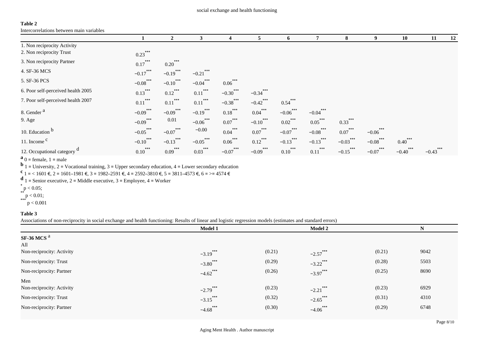# **Table 2**

Intercorrelations between main variables

|                                    |               |                               | 3                |                        | 5              | 6           |                  | 8           | 9              | 10          | 11          | <b>12</b> |
|------------------------------------|---------------|-------------------------------|------------------|------------------------|----------------|-------------|------------------|-------------|----------------|-------------|-------------|-----------|
| 1. Non reciprocity Activity        |               |                               |                  |                        |                |             |                  |             |                |             |             |           |
| 2. Non reciprocity Trust           | $0.23$ ***    |                               |                  |                        |                |             |                  |             |                |             |             |           |
| 3. Non reciprocity Partner         | $0.17$ ***    | $0.20$ ***                    |                  |                        |                |             |                  |             |                |             |             |           |
| 4. SF-36 MCS                       | $-0.17***$    | $-0.19***$                    | ***<br>$-0.21$   |                        |                |             |                  |             |                |             |             |           |
| 5. SF-36 PCS                       | $-0.08$ ***   | $-0.10$ <sup>***</sup>        | $***$<br>$-0.04$ | $0.06$ ***             |                |             |                  |             |                |             |             |           |
| 6. Poor self-perceived health 2005 | $0.13***$     | $0.12$ ***                    | $***$<br>0.11    | $-0.30$ <sup>***</sup> | ***<br>$-0.34$ |             |                  |             |                |             |             |           |
| 7. Poor self-perceived health 2007 | $***$<br>0.11 | $***$<br>0.11                 | $0.11$ ***       | $-0.38$ ***            | ***<br>$-0.42$ | ***<br>0.54 |                  |             |                |             |             |           |
| 8. Gender <sup>a</sup>             | $-0.09$ ***   | $***$<br>$-0.09$ <sup>"</sup> | $-0.19$ ***      | $0.18$ ***             | $0.04***$      | $-0.06$ *** | $***$<br>$-0.04$ |             |                |             |             |           |
| 9. Age                             | $-0.09$ ***   | 0.01                          | $-0.06$ ***      | $0.07***$              | $-0.10$ ***    | $0.02$ ***  | $0.05***$        | $0.33***$   |                |             |             |           |
| 10. Education b                    | $-0.05***$    | $-0.07***$                    | $-0.00$          | $0.04***$              | $0.07$ ***     | $-0.07$ *** | $-0.08$ ***      | $0.07***$   | $-0.06$ ***    |             |             |           |
| 11. Income $c$                     | $-0.10$ ***   | ***<br>$-0.13$                | $-0.05***$       | $0.06$ ***             | $0.12$ ***     | $-0.13$ *** | $-0.13$ ***      | $-0.03$ *** | ***<br>$-0.08$ | ***<br>0.40 |             |           |
| 12. Occupational category d        | $0.10$ ***    | $0.09***$                     | $0.03***$        | $-0.07***$             | $-0.09$ ***    | $0.10$ ***  | $0.11$ ***       | $-0.15***$  | $-0.07***$     | $-0.40$ *** | $-0.43$ *** |           |

 $\mathbf{a}_0$  = female,  $1$  = male

 $**b**$  **1 = University, 2 = Vocational training, 3 = Upper secondary education, 4 = Lower secondary education** 

**c**<sub>1</sub> = < 1601 €, 2 = 1601–1981 €, 3 = 1982–2591 €, 4 = 2592–3810 €, 5 = 3811–4573 €, 6 = >= 4574 €

**d**<sub>1</sub> = Senior executive, 2 = Middle executive, 3 = Employee, 4 = Worker

- $*$  p < 0.05;
- $*$  \* p < 0.01;
- \*\*\*  $p < 0.001$

# **Table 3**

Associations of non-reciprocity in social exchange and health functioning: Results of linear and logistic regression models (estimates and standard errors)

|                              | Model 1          |        | <b>Model 2</b> |        | N    |  |
|------------------------------|------------------|--------|----------------|--------|------|--|
| <b>SF-36 MCS<sup>a</sup></b> |                  |        |                |        |      |  |
| All                          |                  |        |                |        |      |  |
| Non-reciprocity: Activity    | ***<br>$-3.19$   | (0.21) | $-2.57$ ***    | (0.21) | 9042 |  |
| Non-reciprocity: Trust       | $-3.80$ ***      | (0.29) | $-3.22$ ***    | (0.28) | 5503 |  |
| Non-reciprocity: Partner     | $-4.62$ ***      | (0.26) | $-3.97***$     | (0.25) | 8690 |  |
| Men                          |                  |        |                |        |      |  |
| Non-reciprocity: Activity    | ***<br>$-2.79$   | (0.23) | ***<br>$-2.21$ | (0.23) | 6929 |  |
| Non-reciprocity: Trust       | $-3.15$ ***      | (0.32) | $-2.65$ ***    | (0.31) | 4310 |  |
| Non-reciprocity: Partner     | $***$<br>$-4.68$ | (0.30) | $-4.06$ ***    | (0.29) | 6748 |  |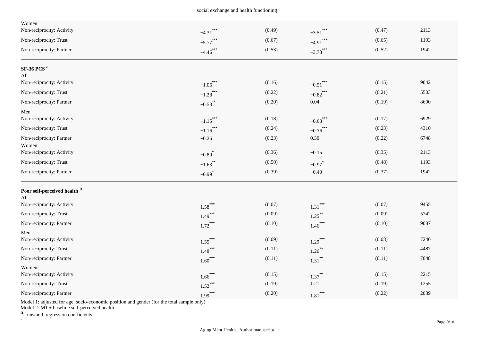social exchange and health functioning

| Women                               |                              |        |                                           |        |      |
|-------------------------------------|------------------------------|--------|-------------------------------------------|--------|------|
| Non-reciprocity: Activity           | $***$<br>$-4.31$             | (0.49) | $***$<br>$-3.51$                          | (0.47) | 2113 |
| Non-reciprocity: Trust              | $***$<br>$-5.77$             | (0.67) | $-4.91$                                   | (0.65) | 1193 |
| Non-reciprocity: Partner            | ***<br>$-4.46$               | (0.53) | $\star\star\star$<br>$-3.73$ <sup>"</sup> | (0.52) | 1942 |
| <b>SF-36 PCS<sup>a</sup></b>        |                              |        |                                           |        |      |
| All                                 | $***$                        | (0.16) |                                           | (0.15) | 9042 |
| Non-reciprocity: Activity           | $-1.06$                      |        | $-0.51$ ***                               |        |      |
| Non-reciprocity: Trust              | $-1.28$                      | (0.22) | $-0.82$ <sup>*</sup>                      | (0.21) | 5503 |
| Non-reciprocity: Partner            | $-0.53$ <sup>2</sup>         | (0.20) | 0.04                                      | (0.19) | 8690 |
| Men<br>Non-reciprocity: Activity    | $***$<br>$-1.15$             | (0.18) | $-0.63***$                                | (0.17) | 6929 |
| Non-reciprocity: Trust              | $***$<br>$-1.16$             | (0.24) | $***$<br>$-0.76$                          | (0.23) | 4310 |
| Non-reciprocity: Partner            | $-0.26$                      | (0.23) | $0.30\,$                                  | (0.22) | 6748 |
| Women                               |                              |        |                                           |        |      |
| Non-reciprocity: Activity           | $-0.80^{*}$                  | (0.36) | $-0.15$                                   | (0.35) | 2113 |
| Non-reciprocity: Trust              | $-1.63$ **                   | (0.50) | $-0.97$ <sup>*</sup>                      | (0.48) | 1193 |
| Non-reciprocity: Partner            | $-0.99$                      | (0.39) | $-0.40$                                   | (0.37) | 1942 |
| Poor self-perceived health b<br>All |                              |        |                                           |        |      |
| Non-reciprocity: Activity           | $1.58***$                    | (0.07) | $1.31***$                                 | (0.07) | 9455 |
| Non-reciprocity: Trust              | $***$<br>1.49                | (0.09) | $1.25$ **                                 | (0.09) | 5742 |
| Non-reciprocity: Partner            | $1.72$ ***                   | (0.10) | $1.46***$                                 | (0.10) | 9087 |
| Men<br>Non-reciprocity: Activity    | $1.55***$                    | (0.09) | $1.29***$                                 | (0.08) | 7240 |
| Non-reciprocity: Trust              | $***$<br>1.48                | (0.11) | $1.26$ **                                 | (0.11) | 4487 |
| Non-reciprocity: Partner            | 1.60                         | (0.11) | $1.31$ **                                 | (0.11) | 7048 |
| Women                               |                              |        |                                           |        |      |
| Non-reciprocity: Activity           | $\star\star\star$<br>1.66    | (0.15) | $1.37$ **                                 | (0.15) | 2215 |
| Non-reciprocity: Trust              | $***$<br>$1.52$ <sup>"</sup> | (0.19) | 1.21                                      | (0.19) | 1255 |
| Non-reciprocity: Partner            | $***$<br>1.99                | (0.20) | $1.81***$                                 | (0.22) | 2039 |

Model 1: adjusted for age, socio-economic position and gender (for the total sample only)

Model 2: M1 + baseline self-perceived health

**a**: unstand. regression coefficients